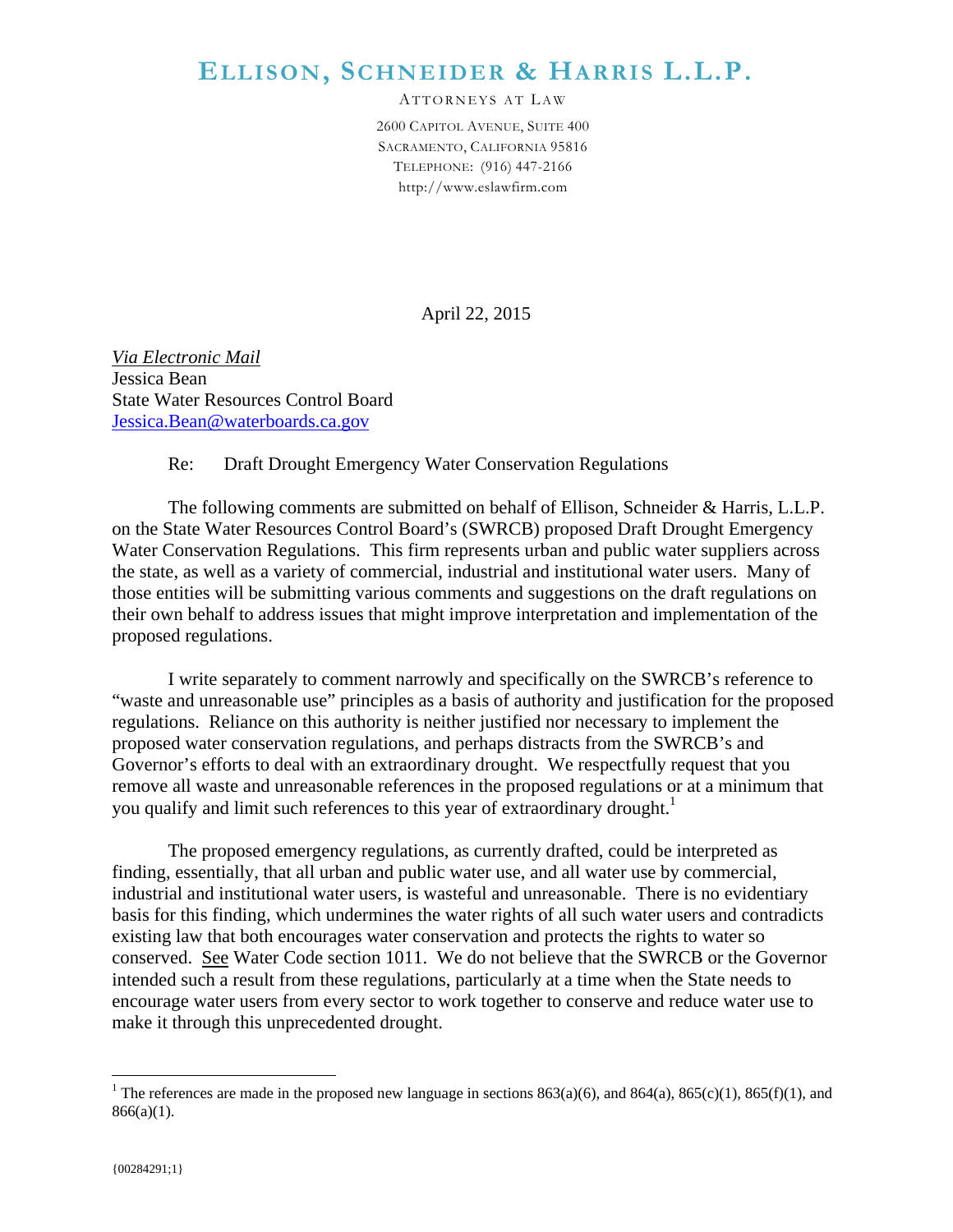## **ELLISON, SCHNEIDER & HARRIS L.L.P.**

ATTORNEYS AT LA W 2600 CAPITOL AVENUE, SUITE 400 SACRAMENTO, CALIFORNIA 95816 TELEPHONE: (916) 447-2166 http://www.eslawfirm.com

April 22, 2015

*Via Electronic Mail*  Jessica Bean State Water Resources Control Board Jessica.Bean@waterboards.ca.gov

## Re: Draft Drought Emergency Water Conservation Regulations

The following comments are submitted on behalf of Ellison, Schneider & Harris, L.L.P. on the State Water Resources Control Board's (SWRCB) proposed Draft Drought Emergency Water Conservation Regulations. This firm represents urban and public water suppliers across the state, as well as a variety of commercial, industrial and institutional water users. Many of those entities will be submitting various comments and suggestions on the draft regulations on their own behalf to address issues that might improve interpretation and implementation of the proposed regulations.

I write separately to comment narrowly and specifically on the SWRCB's reference to "waste and unreasonable use" principles as a basis of authority and justification for the proposed regulations. Reliance on this authority is neither justified nor necessary to implement the proposed water conservation regulations, and perhaps distracts from the SWRCB's and Governor's efforts to deal with an extraordinary drought. We respectfully request that you remove all waste and unreasonable references in the proposed regulations or at a minimum that you qualify and limit such references to this year of extraordinary drought.<sup>1</sup>

The proposed emergency regulations, as currently drafted, could be interpreted as finding, essentially, that all urban and public water use, and all water use by commercial, industrial and institutional water users, is wasteful and unreasonable. There is no evidentiary basis for this finding, which undermines the water rights of all such water users and contradicts existing law that both encourages water conservation and protects the rights to water so conserved. See Water Code section 1011. We do not believe that the SWRCB or the Governor intended such a result from these regulations, particularly at a time when the State needs to encourage water users from every sector to work together to conserve and reduce water use to make it through this unprecedented drought.

 $\overline{a}$ 

<sup>&</sup>lt;sup>1</sup> The references are made in the proposed new language in sections 863(a)(6), and 864(a), 865(c)(1), 865(f)(1), and  $866(a)(1)$ .